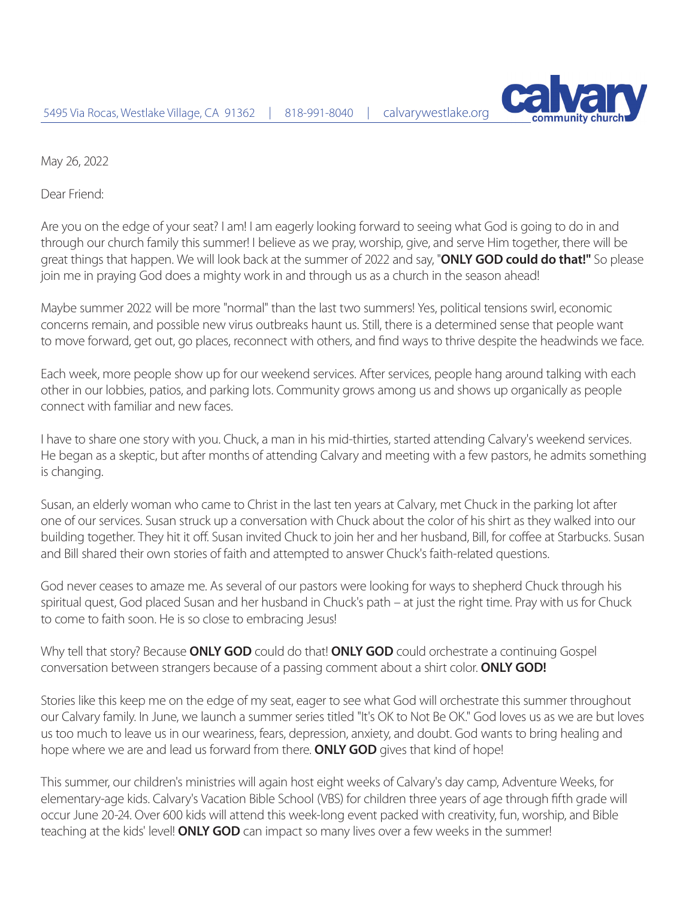

May 26, 2022

Dear Friend:

Are you on the edge of your seat? I am! I am eagerly looking forward to seeing what God is going to do in and through our church family this summer! I believe as we pray, worship, give, and serve Him together, there will be great things that happen. We will look back at the summer of 2022 and say, "**ONLY GOD could do that!"** So please join me in praying God does a mighty work in and through us as a church in the season ahead!

Maybe summer 2022 will be more "normal" than the last two summers! Yes, political tensions swirl, economic concerns remain, and possible new virus outbreaks haunt us. Still, there is a determined sense that people want to move forward, get out, go places, reconnect with others, and find ways to thrive despite the headwinds we face.

Each week, more people show up for our weekend services. After services, people hang around talking with each other in our lobbies, patios, and parking lots. Community grows among us and shows up organically as people connect with familiar and new faces.

I have to share one story with you. Chuck, a man in his mid-thirties, started attending Calvary's weekend services. He began as a skeptic, but after months of attending Calvary and meeting with a few pastors, he admits something is changing.

Susan, an elderly woman who came to Christ in the last ten years at Calvary, met Chuck in the parking lot after one of our services. Susan struck up a conversation with Chuck about the color of his shirt as they walked into our building together. They hit it off. Susan invited Chuck to join her and her husband, Bill, for coffee at Starbucks. Susan and Bill shared their own stories of faith and attempted to answer Chuck's faith-related questions.

God never ceases to amaze me. As several of our pastors were looking for ways to shepherd Chuck through his spiritual quest, God placed Susan and her husband in Chuck's path – at just the right time. Pray with us for Chuck to come to faith soon. He is so close to embracing Jesus!

Why tell that story? Because **ONLY GOD** could do that! **ONLY GOD** could orchestrate a continuing Gospel conversation between strangers because of a passing comment about a shirt color. **ONLY GOD!**

Stories like this keep me on the edge of my seat, eager to see what God will orchestrate this summer throughout our Calvary family. In June, we launch a summer series titled "It's OK to Not Be OK." God loves us as we are but loves us too much to leave us in our weariness, fears, depression, anxiety, and doubt. God wants to bring healing and hope where we are and lead us forward from there. **ONLY GOD** gives that kind of hope!

This summer, our children's ministries will again host eight weeks of Calvary's day camp, Adventure Weeks, for elementary-age kids. Calvary's Vacation Bible School (VBS) for children three years of age through fifth grade will occur June 20-24. Over 600 kids will attend this week-long event packed with creativity, fun, worship, and Bible teaching at the kids' level! **ONLY GOD** can impact so many lives over a few weeks in the summer!